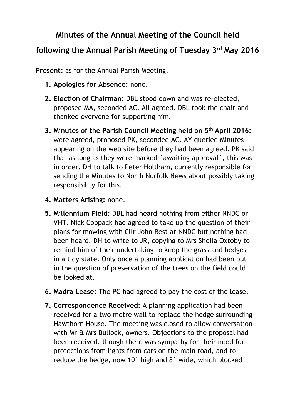## **Minutes of the Annual Meeting of the Council held**

## **following the Annual Parish Meeting of Tuesday 3rd May 2016**

**Present:** as for the Annual Parish Meeting.

- **1. Apologies for Absence:** none.
- **2. Election of Chairman:** DBL stood down and was re-elected, proposed MA, seconded AC. All agreed. DBL took the chair and thanked everyone for supporting him.
- **3. Minutes of the Parish Council Meeting held on 5th April 2016:**  were agreed, proposed PK, seconded AC. AY queried Minutes appearing on the web site before they had been agreed. PK said that as long as they were marked `awaiting approval`, this was in order. DH to talk to Peter Holtham, currently responsible for sending the Minutes to North Norfolk News about possibly taking responsibility for this.
- **4. Matters Arising:** none.
- **5. Millennium Field:** DBL had heard nothing from either NNDC or VHT. Nick Coppack had agreed to take up the question of their plans for mowing with Cllr John Rest at NNDC but nothing had been heard. DH to write to JR, copying to Mrs Sheila Oxtoby to remind him of their undertaking to keep the grass and hedges in a tidy state. Only once a planning application had been put in the question of preservation of the trees on the field could be looked at.
- **6. Madra Lease:** The PC had agreed to pay the cost of the lease.
- **7. Correspondence Received:** A planning application had been received for a two metre wall to replace the hedge surrounding Hawthorn House. The meeting was closed to allow conversation with Mr & Mrs Bullock, owners. Objections to the proposal had been received, though there was sympathy for their need for protections from lights from cars on the main road, and to reduce the hedge, now 10` high and 8` wide, which blocked